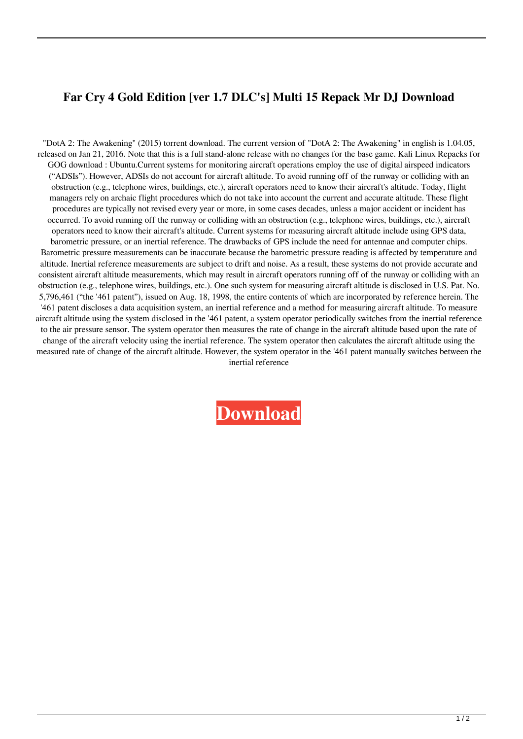## **Far Cry 4 Gold Edition [ver 1.7 DLC's] Multi 15 Repack Mr DJ Download**

"DotA 2: The Awakening" (2015) torrent download. The current version of "DotA 2: The Awakening" in english is 1.04.05, released on Jan 21, 2016. Note that this is a full stand-alone release with no changes for the base game. Kali Linux Repacks for GOG download : Ubuntu.Current systems for monitoring aircraft operations employ the use of digital airspeed indicators ("ADSIs"). However, ADSIs do not account for aircraft altitude. To avoid running off of the runway or colliding with an obstruction (e.g., telephone wires, buildings, etc.), aircraft operators need to know their aircraft's altitude. Today, flight managers rely on archaic flight procedures which do not take into account the current and accurate altitude. These flight procedures are typically not revised every year or more, in some cases decades, unless a major accident or incident has occurred. To avoid running off the runway or colliding with an obstruction (e.g., telephone wires, buildings, etc.), aircraft operators need to know their aircraft's altitude. Current systems for measuring aircraft altitude include using GPS data, barometric pressure, or an inertial reference. The drawbacks of GPS include the need for antennae and computer chips. Barometric pressure measurements can be inaccurate because the barometric pressure reading is affected by temperature and altitude. Inertial reference measurements are subject to drift and noise. As a result, these systems do not provide accurate and consistent aircraft altitude measurements, which may result in aircraft operators running off of the runway or colliding with an obstruction (e.g., telephone wires, buildings, etc.). One such system for measuring aircraft altitude is disclosed in U.S. Pat. No. 5,796,461 ("the '461 patent"), issued on Aug. 18, 1998, the entire contents of which are incorporated by reference herein. The '461 patent discloses a data acquisition system, an inertial reference and a method for measuring aircraft altitude. To measure aircraft altitude using the system disclosed in the '461 patent, a system operator periodically switches from the inertial reference to the air pressure sensor. The system operator then measures the rate of change in the aircraft altitude based upon the rate of change of the aircraft velocity using the inertial reference. The system operator then calculates the aircraft altitude using the measured rate of change of the aircraft altitude. However, the system operator in the '461 patent manually switches between the inertial reference